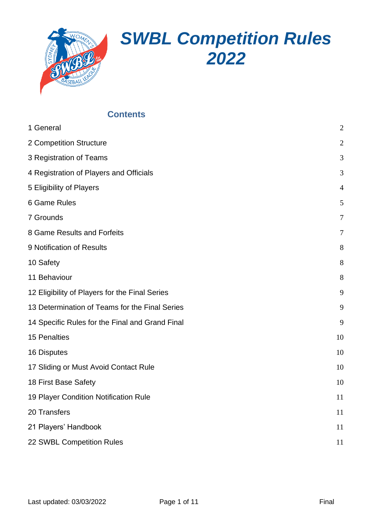

# *SWBL Competition Rules 2022*

# **Contents**

| 1 General                                       | $\overline{2}$ |
|-------------------------------------------------|----------------|
| 2 Competition Structure                         | $\overline{2}$ |
| 3 Registration of Teams                         | 3              |
| 4 Registration of Players and Officials         | 3              |
| 5 Eligibility of Players                        | $\overline{4}$ |
| 6 Game Rules                                    | 5              |
| 7 Grounds                                       | $\overline{7}$ |
| 8 Game Results and Forfeits                     | 7              |
| 9 Notification of Results                       | 8              |
| 10 Safety                                       | 8              |
| 11 Behaviour                                    | 8              |
| 12 Eligibility of Players for the Final Series  | 9              |
| 13 Determination of Teams for the Final Series  | 9              |
| 14 Specific Rules for the Final and Grand Final | 9              |
| <b>15 Penalties</b>                             | 10             |
| 16 Disputes                                     | 10             |
| 17 Sliding or Must Avoid Contact Rule           | 10             |
| 18 First Base Safety                            | 10             |
| 19 Player Condition Notification Rule           | 11             |
| 20 Transfers                                    | 11             |
| 21 Players' Handbook                            | 11             |
| 22 SWBL Competition Rules                       | 11             |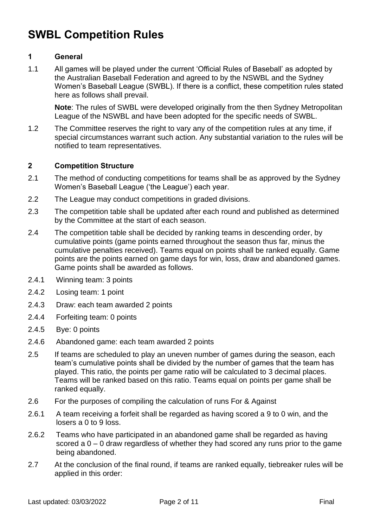# **SWBL Competition Rules**

# <span id="page-1-0"></span>**1 General**

1.1 All games will be played under the current 'Official Rules of Baseball' as adopted by the Australian Baseball Federation and agreed to by the NSWBL and the Sydney Women's Baseball League (SWBL). If there is a conflict, these competition rules stated here as follows shall prevail.

**Note**: The rules of SWBL were developed originally from the then Sydney Metropolitan League of the NSWBL and have been adopted for the specific needs of SWBL.

1.2 The Committee reserves the right to vary any of the competition rules at any time, if special circumstances warrant such action. Any substantial variation to the rules will be notified to team representatives.

#### <span id="page-1-1"></span>**2 Competition Structure**

- 2.1 The method of conducting competitions for teams shall be as approved by the Sydney Women's Baseball League ('the League') each year.
- 2.2 The League may conduct competitions in graded divisions.
- 2.3 The competition table shall be updated after each round and published as determined by the Committee at the start of each season.
- 2.4 The competition table shall be decided by ranking teams in descending order, by cumulative points (game points earned throughout the season thus far, minus the cumulative penalties received). Teams equal on points shall be ranked equally. Game points are the points earned on game days for win, loss, draw and abandoned games. Game points shall be awarded as follows.
- 2.4.1 Winning team: 3 points
- 2.4.2 Losing team: 1 point
- 2.4.3 Draw: each team awarded 2 points
- 2.4.4 Forfeiting team: 0 points
- 2.4.5 Bye: 0 points
- 2.4.6 Abandoned game: each team awarded 2 points
- 2.5 If teams are scheduled to play an uneven number of games during the season, each team's cumulative points shall be divided by the number of games that the team has played. This ratio, the points per game ratio will be calculated to 3 decimal places. Teams will be ranked based on this ratio. Teams equal on points per game shall be ranked equally.
- 2.6 For the purposes of compiling the calculation of runs For & Against
- 2.6.1 A team receiving a forfeit shall be regarded as having scored a 9 to 0 win, and the losers a 0 to 9 loss.
- 2.6.2 Teams who have participated in an abandoned game shall be regarded as having scored a 0 – 0 draw regardless of whether they had scored any runs prior to the game being abandoned.
- 2.7 At the conclusion of the final round, if teams are ranked equally, tiebreaker rules will be applied in this order: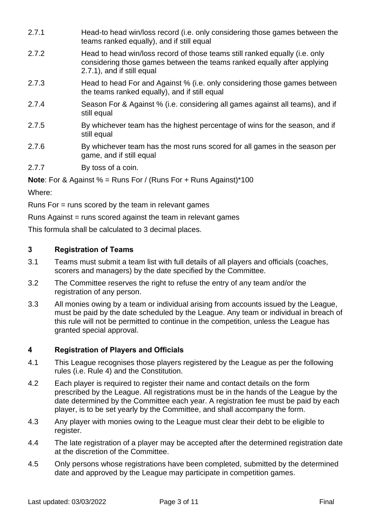- 2.7.1 Head-to head win/loss record (i.e. only considering those games between the teams ranked equally), and if still equal
- 2.7.2 Head to head win/loss record of those teams still ranked equally (i.e. only considering those games between the teams ranked equally after applying 2.7.1), and if still equal
- 2.7.3 Head to head For and Against % (i.e. only considering those games between the teams ranked equally), and if still equal
- 2.7.4 Season For & Against % (i.e. considering all games against all teams), and if still equal
- 2.7.5 By whichever team has the highest percentage of wins for the season, and if still equal
- 2.7.6 By whichever team has the most runs scored for all games in the season per game, and if still equal

2.7.7 By toss of a coin.

**Note**: For & Against % = Runs For / (Runs For + Runs Against)\*100

Where:

Runs For = runs scored by the team in relevant games

Runs Against = runs scored against the team in relevant games

This formula shall be calculated to 3 decimal places.

# <span id="page-2-0"></span>**3 Registration of Teams**

- 3.1 Teams must submit a team list with full details of all players and officials (coaches, scorers and managers) by the date specified by the Committee.
- 3.2 The Committee reserves the right to refuse the entry of any team and/or the registration of any person.
- 3.3 All monies owing by a team or individual arising from accounts issued by the League, must be paid by the date scheduled by the League. Any team or individual in breach of this rule will not be permitted to continue in the competition, unless the League has granted special approval.

# <span id="page-2-1"></span>**4 Registration of Players and Officials**

- 4.1 This League recognises those players registered by the League as per the following rules (i.e. Rule 4) and the Constitution.
- 4.2 Each player is required to register their name and contact details on the form prescribed by the League. All registrations must be in the hands of the League by the date determined by the Committee each year. A registration fee must be paid by each player, is to be set yearly by the Committee, and shall accompany the form.
- 4.3 Any player with monies owing to the League must clear their debt to be eligible to register.
- 4.4 The late registration of a player may be accepted after the determined registration date at the discretion of the Committee.
- 4.5 Only persons whose registrations have been completed, submitted by the determined date and approved by the League may participate in competition games.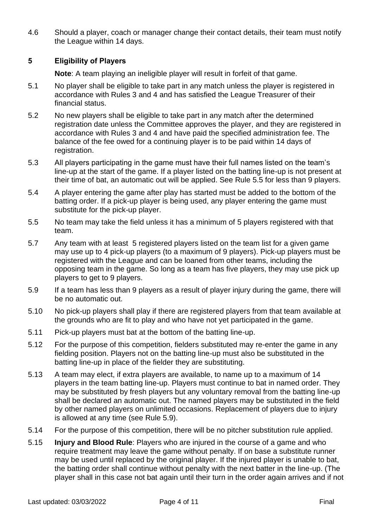4.6 Should a player, coach or manager change their contact details, their team must notify the League within 14 days.

# <span id="page-3-0"></span>**5 Eligibility of Players**

**Note**: A team playing an ineligible player will result in forfeit of that game.

- 5.1 No player shall be eligible to take part in any match unless the player is registered in accordance with Rules 3 and 4 and has satisfied the League Treasurer of their financial status.
- 5.2 No new players shall be eligible to take part in any match after the determined registration date unless the Committee approves the player, and they are registered in accordance with Rules 3 and 4 and have paid the specified administration fee. The balance of the fee owed for a continuing player is to be paid within 14 days of registration.
- 5.3 All players participating in the game must have their full names listed on the team's line-up at the start of the game. If a player listed on the batting line-up is not present at their time of bat, an automatic out will be applied. See Rule 5.5 for less than 9 players.
- 5.4 A player entering the game after play has started must be added to the bottom of the batting order. If a pick-up player is being used, any player entering the game must substitute for the pick-up player.
- 5.5 No team may take the field unless it has a minimum of 5 players registered with that team.
- 5.7 Any team with at least 5 registered players listed on the team list for a given game may use up to 4 pick-up players (to a maximum of 9 players). Pick-up players must be registered with the League and can be loaned from other teams, including the opposing team in the game. So long as a team has five players, they may use pick up players to get to 9 players.
- 5.9 If a team has less than 9 players as a result of player injury during the game, there will be no automatic out.
- 5.10 No pick-up players shall play if there are registered players from that team available at the grounds who are fit to play and who have not yet participated in the game.
- 5.11 Pick-up players must bat at the bottom of the batting line-up.
- 5.12 For the purpose of this competition, fielders substituted may re-enter the game in any fielding position. Players not on the batting line-up must also be substituted in the batting line-up in place of the fielder they are substituting.
- 5.13 A team may elect, if extra players are available, to name up to a maximum of 14 players in the team batting line-up. Players must continue to bat in named order. They may be substituted by fresh players but any voluntary removal from the batting line-up shall be declared an automatic out. The named players may be substituted in the field by other named players on unlimited occasions. Replacement of players due to injury is allowed at any time (see Rule 5.9).
- 5.14 For the purpose of this competition, there will be no pitcher substitution rule applied.
- 5.15 **Injury and Blood Rule**: Players who are injured in the course of a game and who require treatment may leave the game without penalty. If on base a substitute runner may be used until replaced by the original player. If the injured player is unable to bat, the batting order shall continue without penalty with the next batter in the line-up. (The player shall in this case not bat again until their turn in the order again arrives and if not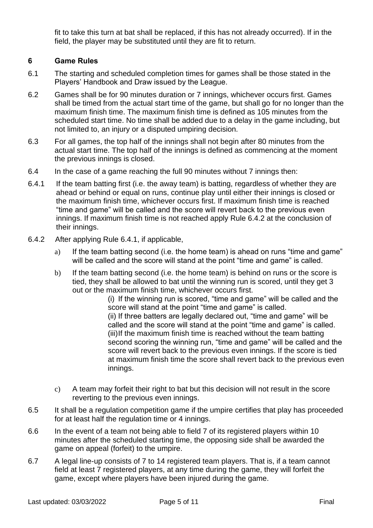fit to take this turn at bat shall be replaced, if this has not already occurred). If in the field, the player may be substituted until they are fit to return.

#### <span id="page-4-0"></span>**6 Game Rules**

- 6.1 The starting and scheduled completion times for games shall be those stated in the Players' Handbook and Draw issued by the League.
- 6.2 Games shall be for 90 minutes duration or 7 innings, whichever occurs first. Games shall be timed from the actual start time of the game, but shall go for no longer than the maximum finish time. The maximum finish time is defined as 105 minutes from the scheduled start time. No time shall be added due to a delay in the game including, but not limited to, an injury or a disputed umpiring decision.
- 6.3 For all games, the top half of the innings shall not begin after 80 minutes from the actual start time. The top half of the innings is defined as commencing at the moment the previous innings is closed.
- 6.4 In the case of a game reaching the full 90 minutes without 7 innings then:
- 6.4.1 If the team batting first (i.e. the away team) is batting, regardless of whether they are ahead or behind or equal on runs, continue play until either their innings is closed or the maximum finish time, whichever occurs first. If maximum finish time is reached "time and game" will be called and the score will revert back to the previous even innings. If maximum finish time is not reached apply Rule 6.4.2 at the conclusion of their innings.
- 6.4.2 After applying Rule 6.4.1, if applicable,
	- a) If the team batting second (i.e. the home team) is ahead on runs "time and game" will be called and the score will stand at the point "time and game" is called.
	- b) If the team batting second (i.e. the home team) is behind on runs or the score is tied, they shall be allowed to bat until the winning run is scored, until they get 3 out or the maximum finish time, whichever occurs first.

(i) If the winning run is scored, "time and game" will be called and the score will stand at the point "time and game" is called. (ii) If three batters are legally declared out, "time and game" will be called and the score will stand at the point "time and game" is called. (iii)If the maximum finish time is reached without the team batting second scoring the winning run, "time and game" will be called and the score will revert back to the previous even innings. If the score is tied at maximum finish time the score shall revert back to the previous even innings.

- c) A team may forfeit their right to bat but this decision will not result in the score reverting to the previous even innings.
- 6.5 It shall be a regulation competition game if the umpire certifies that play has proceeded for at least half the regulation time or 4 innings.
- 6.6 In the event of a team not being able to field 7 of its registered players within 10 minutes after the scheduled starting time, the opposing side shall be awarded the game on appeal (forfeit) to the umpire.
- 6.7 A legal line-up consists of 7 to 14 registered team players. That is, if a team cannot field at least 7 registered players, at any time during the game, they will forfeit the game, except where players have been injured during the game.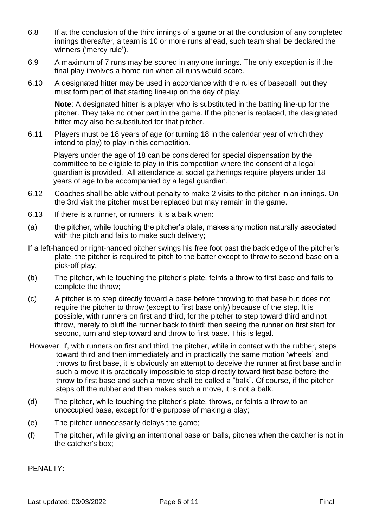- 6.8 If at the conclusion of the third innings of a game or at the conclusion of any completed innings thereafter, a team is 10 or more runs ahead, such team shall be declared the winners ('mercy rule').
- 6.9 A maximum of 7 runs may be scored in any one innings. The only exception is if the final play involves a home run when all runs would score.
- 6.10 A designated hitter may be used in accordance with the rules of baseball, but they must form part of that starting line-up on the day of play.

**Note**: A designated hitter is a player who is substituted in the batting line-up for the pitcher. They take no other part in the game. If the pitcher is replaced, the designated hitter may also be substituted for that pitcher.

6.11 Players must be 18 years of age (or turning 18 in the calendar year of which they intend to play) to play in this competition.

Players under the age of 18 can be considered for special dispensation by the committee to be eligible to play in this competition where the consent of a legal guardian is provided. All attendance at social gatherings require players under 18 years of age to be accompanied by a legal guardian.

- 6.12 Coaches shall be able without penalty to make 2 visits to the pitcher in an innings. On the 3rd visit the pitcher must be replaced but may remain in the game.
- 6.13 If there is a runner, or runners, it is a balk when:
- (a) the pitcher, while touching the pitcher's plate, makes any motion naturally associated with the pitch and fails to make such delivery;
- If a left-handed or right-handed pitcher swings his free foot past the back edge of the pitcher's plate, the pitcher is required to pitch to the batter except to throw to second base on a pick-off play.
- (b) The pitcher, while touching the pitcher's plate, feints a throw to first base and fails to complete the throw;
- (c) A pitcher is to step directly toward a base before throwing to that base but does not require the pitcher to throw (except to first base only) because of the step. It is possible, with runners on first and third, for the pitcher to step toward third and not throw, merely to bluff the runner back to third; then seeing the runner on first start for second, turn and step toward and throw to first base. This is legal.
- However, if, with runners on first and third, the pitcher, while in contact with the rubber, steps toward third and then immediately and in practically the same motion 'wheels' and throws to first base, it is obviously an attempt to deceive the runner at first base and in such a move it is practically impossible to step directly toward first base before the throw to first base and such a move shall be called a "balk". Of course, if the pitcher steps off the rubber and then makes such a move, it is not a balk.
- (d) The pitcher, while touching the pitcher's plate, throws, or feints a throw to an unoccupied base, except for the purpose of making a play;
- (e) The pitcher unnecessarily delays the game;
- (f) The pitcher, while giving an intentional base on balls, pitches when the catcher is not in the catcher's box;

PFNAI TY: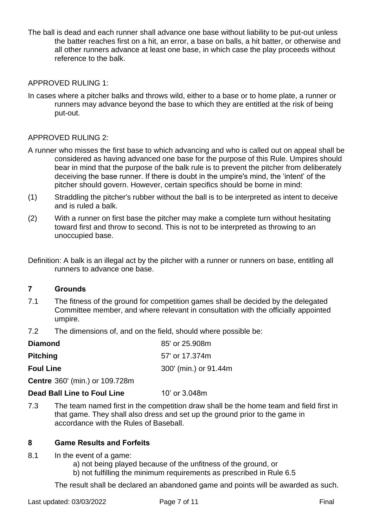The ball is dead and each runner shall advance one base without liability to be put-out unless the batter reaches first on a hit, an error, a base on balls, a hit batter, or otherwise and all other runners advance at least one base, in which case the play proceeds without reference to the balk.

#### APPROVED RULING 1:

In cases where a pitcher balks and throws wild, either to a base or to home plate, a runner or runners may advance beyond the base to which they are entitled at the risk of being put-out.

#### APPROVED RULING 2:

- A runner who misses the first base to which advancing and who is called out on appeal shall be considered as having advanced one base for the purpose of this Rule. Umpires should bear in mind that the purpose of the balk rule is to prevent the pitcher from deliberately deceiving the base runner. If there is doubt in the umpire's mind, the 'intent' of the pitcher should govern. However, certain specifics should be borne in mind:
- (1) Straddling the pitcher's rubber without the ball is to be interpreted as intent to deceive and is ruled a balk.
- (2) With a runner on first base the pitcher may make a complete turn without hesitating toward first and throw to second. This is not to be interpreted as throwing to an unoccupied base.
- Definition: A balk is an illegal act by the pitcher with a runner or runners on base, entitling all runners to advance one base.

#### <span id="page-6-0"></span>**7 Grounds**

- 7.1 The fitness of the ground for competition games shall be decided by the delegated Committee member, and where relevant in consultation with the officially appointed umpire.
- 7.2 The dimensions of, and on the field, should where possible be:

| <b>Diamond</b>   | 85' or 25.908m        |
|------------------|-----------------------|
| <b>Pitching</b>  | 57' or 17.374m        |
| <b>Foul Line</b> | 300' (min.) or 91.44m |
|                  |                       |

**Centre** 360' (min.) or 109.728m

**Dead Ball Line to Foul Line** 10' or 3.048m

7.3 The team named first in the competition draw shall be the home team and field first in that game. They shall also dress and set up the ground prior to the game in accordance with the Rules of Baseball.

### <span id="page-6-1"></span>**8 Game Results and Forfeits**

- 8.1 In the event of a game:
	- a) not being played because of the unfitness of the ground, or
	- b) not fulfilling the minimum requirements as prescribed in Rule 6.5

The result shall be declared an abandoned game and points will be awarded as such.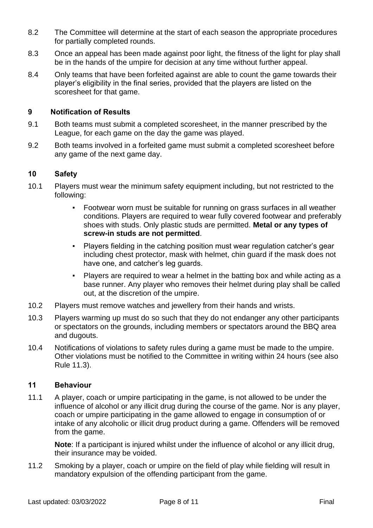- 8.2 The Committee will determine at the start of each season the appropriate procedures for partially completed rounds.
- 8.3 Once an appeal has been made against poor light, the fitness of the light for play shall be in the hands of the umpire for decision at any time without further appeal.
- 8.4 Only teams that have been forfeited against are able to count the game towards their player's eligibility in the final series, provided that the players are listed on the scoresheet for that game.

#### <span id="page-7-0"></span>**9 Notification of Results**

- 9.1 Both teams must submit a completed scoresheet, in the manner prescribed by the League, for each game on the day the game was played.
- 9.2 Both teams involved in a forfeited game must submit a completed scoresheet before any game of the next game day.

#### <span id="page-7-1"></span>**10 Safety**

- 10.1 Players must wear the minimum safety equipment including, but not restricted to the following:
	- Footwear worn must be suitable for running on grass surfaces in all weather conditions. Players are required to wear fully covered footwear and preferably shoes with studs. Only plastic studs are permitted. **Metal or any types of screw-in studs are not permitted**.
	- Players fielding in the catching position must wear regulation catcher's gear including chest protector, mask with helmet, chin guard if the mask does not have one, and catcher's leg guards.
	- Players are required to wear a helmet in the batting box and while acting as a base runner. Any player who removes their helmet during play shall be called out, at the discretion of the umpire.
- 10.2 Players must remove watches and jewellery from their hands and wrists.
- 10.3 Players warming up must do so such that they do not endanger any other participants or spectators on the grounds, including members or spectators around the BBQ area and dugouts.
- 10.4 Notifications of violations to safety rules during a game must be made to the umpire. Other violations must be notified to the Committee in writing within 24 hours (see also Rule 11.3).

#### <span id="page-7-2"></span>**11 Behaviour**

11.1 A player, coach or umpire participating in the game, is not allowed to be under the influence of alcohol or any illicit drug during the course of the game. Nor is any player, coach or umpire participating in the game allowed to engage in consumption of or intake of any alcoholic or illicit drug product during a game. Offenders will be removed from the game.

**Note**: If a participant is injured whilst under the influence of alcohol or any illicit drug, their insurance may be voided.

11.2 Smoking by a player, coach or umpire on the field of play while fielding will result in mandatory expulsion of the offending participant from the game.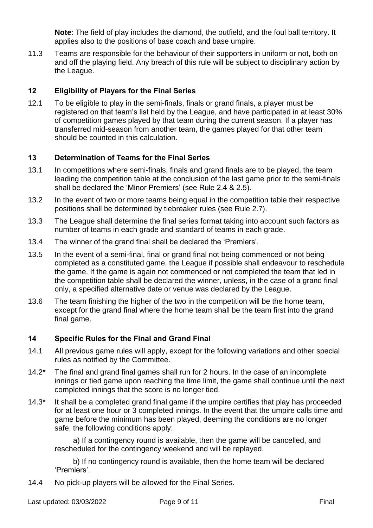**Note**: The field of play includes the diamond, the outfield, and the foul ball territory. It applies also to the positions of base coach and base umpire.

11.3 Teams are responsible for the behaviour of their supporters in uniform or not, both on and off the playing field. Any breach of this rule will be subject to disciplinary action by the League.

# <span id="page-8-0"></span>**12 Eligibility of Players for the Final Series**

12.1 To be eligible to play in the semi-finals, finals or grand finals, a player must be registered on that team's list held by the League, and have participated in at least 30% of competition games played by that team during the current season. If a player has transferred mid-season from another team, the games played for that other team should be counted in this calculation.

# <span id="page-8-1"></span>**13 Determination of Teams for the Final Series**

- 13.1 In competitions where semi-finals, finals and grand finals are to be played, the team leading the competition table at the conclusion of the last game prior to the semi-finals shall be declared the 'Minor Premiers' (see Rule 2.4 & 2.5).
- 13.2 In the event of two or more teams being equal in the competition table their respective positions shall be determined by tiebreaker rules (see Rule 2.7).
- 13.3 The League shall determine the final series format taking into account such factors as number of teams in each grade and standard of teams in each grade.
- 13.4 The winner of the grand final shall be declared the 'Premiers'.
- 13.5 In the event of a semi-final, final or grand final not being commenced or not being completed as a constituted game, the League if possible shall endeavour to reschedule the game. If the game is again not commenced or not completed the team that led in the competition table shall be declared the winner, unless, in the case of a grand final only, a specified alternative date or venue was declared by the League.
- 13.6 The team finishing the higher of the two in the competition will be the home team, except for the grand final where the home team shall be the team first into the grand final game.

#### <span id="page-8-2"></span>**14 Specific Rules for the Final and Grand Final**

- 14.1 All previous game rules will apply, except for the following variations and other special rules as notified by the Committee.
- 14.2\* The final and grand final games shall run for 2 hours. In the case of an incomplete innings or tied game upon reaching the time limit, the game shall continue until the next completed innings that the score is no longer tied.
- 14.3\* It shall be a completed grand final game if the umpire certifies that play has proceeded for at least one hour or 3 completed innings. In the event that the umpire calls time and game before the minimum has been played, deeming the conditions are no longer safe; the following conditions apply:

a) If a contingency round is available, then the game will be cancelled, and rescheduled for the contingency weekend and will be replayed.

b) If no contingency round is available, then the home team will be declared 'Premiers'.

14.4 No pick-up players will be allowed for the Final Series.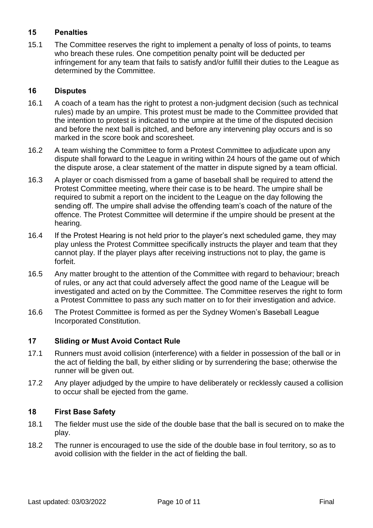# <span id="page-9-0"></span>**15 Penalties**

15.1 The Committee reserves the right to implement a penalty of loss of points, to teams who breach these rules. One competition penalty point will be deducted per infringement for any team that fails to satisfy and/or fulfill their duties to the League as determined by the Committee.

#### <span id="page-9-1"></span>**16 Disputes**

- 16.1 A coach of a team has the right to protest a non-judgment decision (such as technical rules) made by an umpire. This protest must be made to the Committee provided that the intention to protest is indicated to the umpire at the time of the disputed decision and before the next ball is pitched, and before any intervening play occurs and is so marked in the score book and scoresheet.
- 16.2 A team wishing the Committee to form a Protest Committee to adjudicate upon any dispute shall forward to the League in writing within 24 hours of the game out of which the dispute arose, a clear statement of the matter in dispute signed by a team official.
- 16.3 A player or coach dismissed from a game of baseball shall be required to attend the Protest Committee meeting, where their case is to be heard. The umpire shall be required to submit a report on the incident to the League on the day following the sending off. The umpire shall advise the offending team's coach of the nature of the offence. The Protest Committee will determine if the umpire should be present at the hearing.
- 16.4 If the Protest Hearing is not held prior to the player's next scheduled game, they may play unless the Protest Committee specifically instructs the player and team that they cannot play. If the player plays after receiving instructions not to play, the game is forfeit.
- 16.5 Any matter brought to the attention of the Committee with regard to behaviour; breach of rules, or any act that could adversely affect the good name of the League will be investigated and acted on by the Committee. The Committee reserves the right to form a Protest Committee to pass any such matter on to for their investigation and advice.
- 16.6 The Protest Committee is formed as per the Sydney Women's Baseball League Incorporated Constitution.

# <span id="page-9-2"></span>**17 Sliding or Must Avoid Contact Rule**

- 17.1 Runners must avoid collision (interference) with a fielder in possession of the ball or in the act of fielding the ball, by either sliding or by surrendering the base; otherwise the runner will be given out.
- 17.2 Any player adjudged by the umpire to have deliberately or recklessly caused a collision to occur shall be ejected from the game.

#### <span id="page-9-3"></span>**18 First Base Safety**

- 18.1 The fielder must use the side of the double base that the ball is secured on to make the play.
- 18.2 The runner is encouraged to use the side of the double base in foul territory, so as to avoid collision with the fielder in the act of fielding the ball.